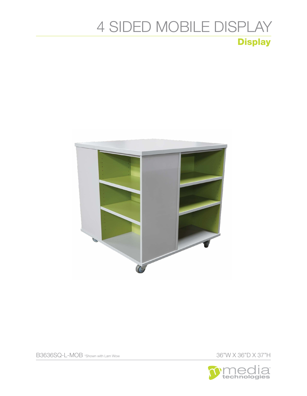## 4 SIDED MOBILE DISPLAY **Display**





36"W X 36"D X 37"H